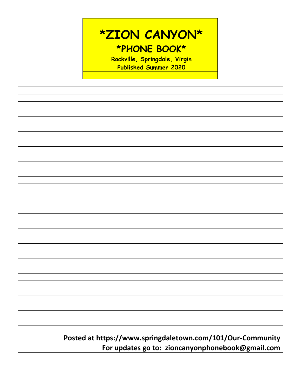

| Posted at https://www.springdaletown.com/101/Our-Community |  |  |
|------------------------------------------------------------|--|--|
| For updates go to: zioncanyonphonebook@gmail.com           |  |  |
|                                                            |  |  |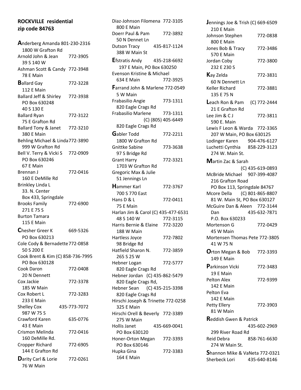# **ROCKVILLE residential zip code 84763**

**A**nderberg Amanda 801-230-2316 1800 W Grafton Rd Arnold John & Jean 772-3905 39 S 140 W Ashman Scott & Candy 772-3948 78 E Main **B**allard Gay 772-3228 112 E Main Ballard Jeff & Shirley 772-3938 PO Box 630248 40 S 130 E Ballard Ryan 772-3122 75 E Grafton Rd Ballard Tony & Janet 772-3210 380 E Main Behling Michael & Linda772-3890 999 W Grafton Rd Bell V. Terry & Vicki S 772-0909 PO Box 630246 67 E Main Brennan J 772-0416 160 E DeMille Rd Brinkley Linda L 33. N. Center Box 433, Springdale Brooks Family 772-6900 271 E 75 S Burton Tamara 115 E Main  $\mathsf{Chesher}$  Greer K 669-5326 PO Box 630213 Cole Cody & Bernadette772-0858 50 S 200 E Cook Brent & Kim (C) 858-736-7995 PO Box 630128 Cook Daron 772-0408 20 N Dennett Cox Jackie 772-3378 185 W Main Cox Robert L 772-3283 233 E Main Shelley Cox 435-773-7072 987 W 75 S Crawford Karen 635-0776 43 E Main Crismon Melinda 772-0416 160 DeMille Rd. Cropper Richard 772-6905 144 E Grafton Rd **D**arity Carl & Lorie 772-0261 76 W Main

Diaz-Johnson Filomena 772-3105 800 E Main Doerr Paul & Pam 772-3892 50 N Dennet Ln Dutson Tracy 435-817-1124 388 W Main St **E**fstratis Andy 435-218-6692 197 E Main, PO Box 630250 Evenson Kristine & Michael 634 E Main 772-3925 **F**arrand John & Marlene 772-0549 5 W Main Frabasilio Angie 773-1311 820 Eagle Crags Rd Frabasilio Marlene 773-1311 (C) (805) 405-6449 820 Eagle Crags Rd **G**abler Todd 772-2211 1800 W Grafton Rd Gnittke Sabine 773-3638 97 S Bridge Rd Grant Harry 772-3321 1703 W Grafton Rd Gregoric Max & Julie 51 Jennings Ln **H**ammer Karl 772-3767 700 S 770 East Hans D & L 772-0411 75 E Main Harlan Jim & Carol (C) 435-477-6531 48 S 140 W 772-3115 Harris Bernie & Elaine 772-3220 188 W Main Hartless Joyce 772-7802 98 Bridge Rd Hatfield Sharon N. 772-3859 265 S 25 W Hebner Logan 772-5777 820 Eagle Crags Rd Hebner Jordan (C) 435-862-5479 820 Eagle Crags Rd, Hebner Sean (C) 435-215-3398 820 Eagle Crags Rd Hirschi Joseph & Trinette 772-0258 325 E Main Hirschi Orell & Beverly 772-3389 275 W Main Hollis Janet 435-669-0041 PO Box 630120 Honer-Orton Megan 772-3393 PO Box 630146 Hupka Gina 772-3383 164 E Main

**J**ennings Joe & Trish (C) 669-6509 210 E Main Johnson Stephen 772-0838 800 E Main Jones Bob & Tracy 772-3486 570 E Main Jordan Coby 772-3800 232 E 230 S **K**ay Zelda 772-3831 60 N Dennett Ln Keller Richard 772-3881 135 E 75 N **L**each Ron & Pam (C) 772-2444 21 E Grafton Rd Lee Jim & C J 772-3811 590 E. Main Lewis F Leon & Warda 772-3365 207 W Main, PO Box 630125 Lodinger Karen 904-476-6127 Luchetti Cynthia 858-229-3123 274 W. Main St. **M**artin Zac & Sarah (C) 435-619-0893 McBride Michael 907-399-4087 216 Grafton Road PO Box 113, Springdale 84767 Mcore Della (C) 801-865-8807 81 W. Main St, PO Box 630127 McGuire Dan & Aleen 772-3144 Dan 435-632-7871 P.O. Box 630233 Mortenson G 772-0429 45 W Main Mortensen Thomas Pete 772-3805 41 W 75 N **O**rton Megan & Bob 772-3393 149 E Main **P**arkinson Vicki 772-3483 19 E Main Pelton Alex 772-9399 142 E Main Pelton Eva 142 E Main Petty Ellery 772-3903 81 W Main **R**eddish Gwen & Patrick 435-602-2969 299 River Road Rd Reid Debra 858-761-6630 274 W Main St. **S**hannon Mike & VaNeta 772-0321 Sherbeck Lori 435-640-8146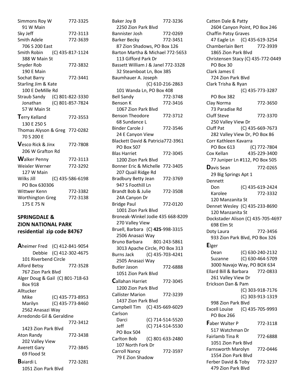Simmons Roy W 772-3325 91 W Main Sky Jeff 772-3113 Smith Adele 772-3639 706 S 200 East Smith Robin (C) 435-817-1124 388 W Main St Snyder Rob 772-3832 190 E Main Sochat Barry 772-3441 Starling Jim & Kate 100 E DeMille Rd Straub Sandy (C) 801-822-3330 Jonathan (C) 801-857-7824 57 W Main St **T**erry Kelland 772-3553 130 E 250 S Thomas Alyson & Greg 772-0282 70 S 200 E **V**esco Rick & Jinx 772-7808 206 W Grafton Rd Walker Penny 772-3113 Weixler Werner 772-3292 127 W Main Wilks Jill (C) 435-586-6198 PO Box 630306 Wittwer Kenn 772-3382 Worthington Greg 772-3138 175 E 75 N

## **SPRINGDALE & ZION NATIONAL PARK residential zip code 84767**

**A**heimer Fred (C) 412-841-9054 Debbie (C) 412-302-4675 101 Riverbend Circle Alford Betsy 772-3528 767 Zion Park Blvd Alger Doug & Gail (C) 801-718-63 Box 918 Alltucker Mike (C) 435-773-8953 Marilyn (C) 435-773-8460 2562 Anasazi Way Arredondo Gil & Geraldine 772-3412 1423 Zion Park Blvd Aton Randy 772-3438 202 Valley View Averett Gary 772-3845 69 Flood St **B**aiardi L 772-3281 1051 Zion Park Blvd

Baker Joy B 772-3236 2250 Zion Park Blvd Bannister Josh 772-0269 Barker Becky 772-3451 87 Zion Shadows, PO Box 126 Barton Martha & Michael 772-5653 113 Gifford Park Dr Bassett William J & Janel 772-3328 32 Steamboat Ln, Box 385 Baumhauer A. Joseph (C) 610-216-2863 101 Wanda Ln, PO Box 408 Bell Sandy 772-3748 Benson K 772-3416 1067 Zion Park Blvd Benson Theodore 772-3712 68 Sundance L Binder Carole J 772-3546 24 E Canyon View Blackett David & Patricia772-3961 PO Box 507 Blas Harriet 772-3045 1200 Zion Park Blvd Bonner Eric & Michelle 772-3405 207 Quail Ridge Rd Bradbury Betty Jean 772-3769 947 S Foothill Ln Brandt Bob & Julie 772-3508 24A Canyon Dr Bridge Paul 772-0120 1001 Zion Park Blvd Broneak-Winkel Jodie 435 668-8209 270 Valley View Bruell, Barbara (C) **425**-998-3315 2506 Anasazi Way Bruno Barbara 801-243-5861 3013 Apache Circle, PO Box 313 Burns Jack (C) 435-703-4241 2505 Anasazi Way Butler Jason 772-6888 1051 Zion Park Blvd **C**allahan Harriet 772-3045 1200 Zion Park Blvd Callister Marion 772-3239 1437 Zion Park Blvd Campbell Tim (C) 435-669-6029 Carlson Darci (C) 714-514-5520 Jeff (C) 714-514-5530 PO Box 504 Carlton Bob (C) 801-633-2480 107 North Fork Dr Carroll Nancy 772-3597 79 E Zion Shadow

Catten Dale & Patty 2604 Canyon Point, PO Box 246 Chaffin Patsy Graves 47 Eagle Ln (C) 435-619-3254 Chamberlain Bert 772-3939 1865 Zion Park Blvd Christensen Stacy (C) 435-772-0449 PO Box 30 Clark James E 724 Zion Park Blvd Clark Trisha & Ryan (C) 435-773-3287 PO Box 382 Clay Norma 772-3650 73 Paradise Rd Cluff Steve 772-3370 250 Valley View Dr Cluff Pat (C) 435-669-7673 282 Valley View Dr, PO Box 86 Corr Kathleen Kavarra PO Box 613 (C) 772-7804 Cox Kellan 435-229-3400 77 Juniper Ln #112, PO Box 505 **D**avis Sean 772-0265 29 Big Springs Apt 1 Dennett Don (C) 435-619-2424 Karolee 772-3332 120 Manzanita St Dennet Wesley (C) 435-233-8690 120 Manzanita St Dockstader Alison (C) 435-705-4697 698 Elm St Doty Laura 772-3456 933 Zion Park Blvd, PO Box 326 **E**lger Dean (C) 630-240-2132 Suzanne (C) 630-464-5709 3000 Navajo Way, PO BOX 634 Ellard Bill & Barbara 772-0833 261 Valley View Dr Erickson Dan & Pam (C) 303-918-7176 (C) 303-913-1319 998 Zion Park Blvd Excell Louise (C) 435-705-9993 PO Box 266 **F**aber Walter P 772-3118 517 Watchman Dr Fairlamb Tina R 772-6888 1051 Zion Park Blvd Farnsworth Marolyn 772-0446 1554 Zion Park Blvd Ferber David & Toby 772-3237 479 Zion Park Blvd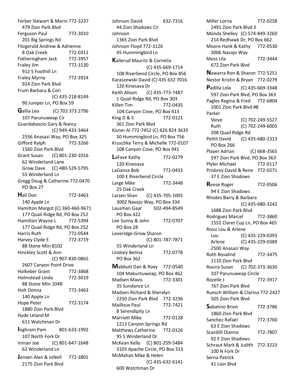Ferber Stewart & Marni 772-3237 479 Zion Park Blvd Ferguson Paul 772-3010 201 Big Springs Rd Fitzgerald Andrew & Adrienne 8 Oak Creek 772-0311 Fotheringham Jack 772-3957 Fraley Jim 772-3130 912 S Foothill Ln Fraley Myrna 772-3924 924 Zion Park Blvd Frum Barbara & Cori (C) 435-218-8149 90 Juniper Ln, PO Box 59 **G**allia Leo (C) 702 373 2796 107 Parunuweap Cir Guardabascio Gary & Nancy (C) 949-433-3464 2556 Anasazi Way, PO Box 325 Gifford Ralph 772-3266 1560 Zion Park Blvd Grant Susan (C) 801-230-1016 62 Winderland Lane Grow Dave (C) 480-529-5795 55 Winderland Ln Gregg Doug & Catherine 772-0470 PO Box 27 **H**all Don 772-3463 140 Apple Ln Hamilton Margot (C) 360-460-9671 177 Quail Ridge Rd, PO Box 252 Hamilton Wayne L 772-5394 177 Quail Ridge Rd, PO Box 252 Harris Ruth 772-0544 Harvey Clyde E 772-3719 88 Stone Mtn B102 Hinckley Scott & Ann (C) 907-830-0865 2607 Canyon Point Drive Holkeber Grant 772-3868 Holmstead Linda 772-3019 88 Stone Mtn 104B Holt Donna 772-3463 140 Apple Ln Hope Peter 772-3174 1880 Zion Park Blvd Hyde Leland M 611 Watchman Dr **I**nghram Pam 801-633-1992 107 North Fork Dr Inman Joe (C) 801-647-1648 62 Winderland Ln **J**ensen Alan & JoNell 772-3801 2175 Zion Park Blvd

Johnson David 632-7316 44 Zion Shadows Cir Johnson 1365 Zion Park Blvd Johnson Floyd 772-3126 45 Hummingbird Ln **K**allerud Mauritz & Cornelia (C) 435-669-1714 108 Riverbend Circle, PO Box 856 Karaszewski David (C) 435 632 7016 120 Kinesava Dr Keith Alison (C) 435-773-7487 1 Quail Ridge Rd, PO Box 303 Killen Tim 772-0435 104 Canyon Cove, PO Box 413 King D & S 772-0121 361 Zion Park Blvd Kisner Al 772-7452 (C) 626 824 3635 50 Hummingbird Ln, PO Box 756 Kruschke Terry & Michelle 772-0107 108 Canyon Cove, PO Box 941 **L**aFave Kathy 772-0279 120 Kinesava LaGanza Bob 772-0433 100 E Riverbend Circle Large Mike 772-3448 25 Oak Creek Larsen Shan (C) 435-705-1005 3002 Navajo Way, PO Box 334 Lausman Gaar 502-494-8549 PO Box 422 Lee Sunny & John 772-0707 PO Box 28 Loveridge-Grow Sharon (C) 801-787-7871 55 Winderland Ln Lindsey Betina 772-0778 PO Box 362 **M**abbutt Dan & Roxy 772-0540 104 Makuntuweap, PO Box 462 Madsen Mavis 772-3301 35 Sundance Ln Madsen Richard & Sheralyn 2250 Zion Park Blvd 772-3236 Mailloux Paul 772-7421 8 Serendipity Ln Marriott Mike 772-0128 1213 Canyon Springs Rd Matthews Catherine 772-0126 95 S Winderland Dr McKean Kelly (C) 801-259-5484 3103 Apache Circle, PO Box 313 McMahan Mike & Helen (C) 435-632-6141 600 Watchman Dr

Miller Lorna 772-0258 2491 Zion Park Blvd 3 Monda Shelley (C) 574-849-3260 214 Redhawk Dr, PO Box 662 Moore Hank & Kathy 772-0530 3006 Navajo Way Moss Lila 772-3444 672 Zion Park Blvd **N**awarra Ron & Sharon 772-5251 Nestor Kristin & Bryan 772-0279 **P**adilla Lola (C) 435-669-3348 597 Zion Park Blvd, PO Box 363 Pagles Regina & Fred 772-6804 1001 Zion Park Blvd #8 Parker Steve (C) 702-249-5527 Ruth (C) 702-249-6005 208 Quail Ridge Rd Pettit David (C) 435-680-2313 PO Box 266 Player Adrian (C) 668-3565 597 Zion Park Blvd, PO Box 363 Plyler Michael 772-0117 Prisbrey David & Rene 772-0271 37 E Zion Shadows **Reese Roger 772-0506** 94 E Zion Shadows Rhodes Barry & Barbara (C) 435-680-3242 1688 Zion Park Blvd Rodriguez Marcel 772-3860 1552 Claret Cup Ln, PO Box 465 Rossi Lou & Arlene Lou (C) 435-229-0393 Arlene (C) 435-229-0389 2500 Anasazi Way Roth Rosalind 772-3475 1110 Zion Park Blvd Rovira Susan (C) 702-373-3630 107 Parunuweap Circle Rozelle J 772-3917 767 Zion Park Blvd Ruesch William & Clarina 772-2427 505 Zion Park Blvd Sabatino Brion 772-3786 1860 Zion Park Blvd Sanchez Rafael 772-3760 63 E Zion Shadows Scardilli Dianna 772-7807 92 E Zion Shadows Schraut Mark & Judith 772-3223 100 N Fork Dr Serna Patrick 41 Lion Blvd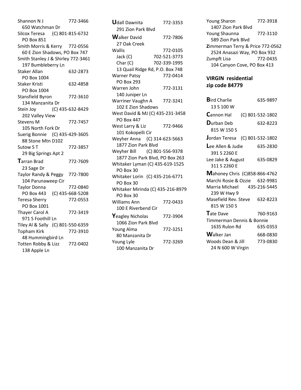Shannon N J 772-3466 650 Watchman Dr Silcox Teresa (C) 801-815-6732 PO Box 851 Smith Morris & Kerry 772-0556 60 E Zion Shadows, PO Box 747 Smith Stanley J & Shirley 772-3461 197 Bumbleberry Ln Staker Allan 632-2873 PO Box 1004 Staker Kristi 632-4858 PO Box 1004 Stansfield Byron 772-3610 134 Manzanita Dr Stein Joy (C) 435-632-8429 202 Valley View Stevens M 772-7457 105 North Fork Dr Suerig Bonnie (C) 435-429-3605 88 Stone Mtn D102 Sutow S T 772-3857 29 Big Springs Apt 2 **T**arran Brad 772-7609 23 Sage Dr Taylor Randy & Peggy 772-7800 104 Parunaweep Cir Taylor Donna 772-0840 PO Box 443 (C) 435-668-5208 Teresa Sherry 772-0553 PO Box 1001 Thayer Carol A 772-3419 971 S Foothill Ln Tiley Al & Sally (C) 801-550-6359 Topham Kirk 772-3910 48 Hummingbird Ln Totten Robby & Lizz 772-0402 138 Apple Ln

| <b>Udall Dawnita</b>              | 772-3353     |  |
|-----------------------------------|--------------|--|
| 291 Zion Park Blyd                |              |  |
| <b>Walker David</b>               | 772-7806     |  |
| 27 Oak Creek                      |              |  |
| Wallis                            | 772-0105     |  |
| Jack (C)                          | 702-521-3773 |  |
| Char (C)                          | 702-339-1995 |  |
| 13 Quail Ridge Rd, P.O. Box 748   |              |  |
| <b>Warner Patsy</b>               | 772-0414     |  |
| <b>PO Box 293</b>                 |              |  |
| Warren John                       | 772-3131     |  |
| 140 Juniper Ln                    |              |  |
| Warriner Vaughn A                 | 772-3241     |  |
| 102 E Zion Shadows                |              |  |
| West David & MJ (C) 435-231-3458  |              |  |
| <b>PO Box 447</b>                 |              |  |
| West Larry & Liz                  | 772-9466     |  |
| 101 Kokopelli Cir                 |              |  |
| Weyher Anna (C) 314-623-5663      |              |  |
| 1877 Zion Park Blvd               |              |  |
| Weyher Bill (C) 801-556-9378      |              |  |
| 1877 Zion Park Blvd, PO Box 263   |              |  |
| Whitaker Lyman (C) 435-619-1525   |              |  |
| PO Box 30                         |              |  |
| Whitaker Lorin (C) 435-216-6771   |              |  |
| PO Box 30                         |              |  |
| Whitaker Mirinda (C) 435-216-8979 |              |  |
| PO Box 30                         |              |  |
| Williams Ann                      | 772-0433     |  |
| 100 E Riverbend Cir               |              |  |
| <b>Y</b> eagley Nicholas          | 772-3904     |  |
| 1066 Zion Park Blyd               |              |  |
| <b>Young Alma</b>                 | 772-3251     |  |
| 80 Manzanita Dr                   |              |  |
| Young Lyle                        | 772-3269     |  |
| 100 Manzanita Dr                  |              |  |

Young Sharon 772-3918 1407 Zion Park Blvd Young Shaunna 772-3110 589 Zion Park Blvd **Z**immerman Terry & Price 772-0562 2524 Anasazi Way, PO Box 932 Zumpft Lisa 772-0435 104 Canyon Cove, PO Box 413

### **VIRGIN residential zip code 84779**

| <b>Bird Charlie</b>                        |  | 635-9897         |
|--------------------------------------------|--|------------------|
| 13 S 100 W                                 |  |                  |
| <b>Cannon Hal</b>                          |  | (C) 801-532-1802 |
| <b>D</b> urban Deb<br>815 W 150 S          |  | 632-8223         |
| Jordan Teresa (C) 801-532-1802             |  |                  |
| Lee Allen & Judie<br>391 S 2260 E          |  | 635-2830         |
| Lee Jake & August<br>311 S 2260 F          |  | 635-0829         |
| <b>Mahoney Chris (C)858-866-4762</b>       |  |                  |
| Marchi Rosie & Ozzie 632-9981              |  |                  |
| Marria Michael 435-216-5445<br>239 W Hwy 9 |  |                  |
| Masefield Rev. Steve<br>815 W 150 S        |  | 632-8223         |
| Tate Dave                                  |  | 760-9163         |
| Timmerman Dennis & Bonnie                  |  |                  |
| 163S Rulon Rd                              |  | 635-0353         |
| <b>W</b> alker Jan                         |  | 668-0830         |
| Woods Dean & Jill                          |  | 773-0830         |
| 24 N 600 W Virgin                          |  |                  |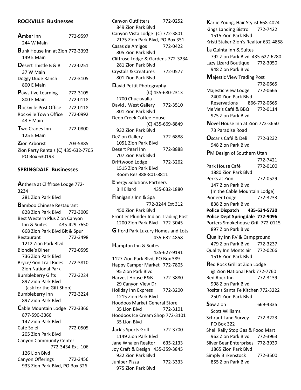### **ROCKVILLE Businesses**

| <b>A</b> mber Inn<br>244 W Main                       | 772-9597 |  |
|-------------------------------------------------------|----------|--|
| <b>B</b> unk House Inn at Zion 772-3393<br>149 F Main |          |  |
| <b>D</b> esert Thistle B & B<br>37 W Main             | 772-0251 |  |
| Doggy Dude Ranch<br>800 F Main                        | 772-3105 |  |
| <b>Pawsitive Learning</b>                             | 772-3105 |  |
| 800 E Main                                            | 772-0118 |  |
| <b>Rockville Post Office</b> 772-0118                 |          |  |
| Rockville Town Office 772-0992<br>43 F Main           |          |  |
| <b>T</b> wo Cranes Inn<br>125 E Main                  | 772-0800 |  |
| <b>Zion Arborist</b>                                  | 703-5885 |  |
| Zion Party Rentals (C) 435-632-7705<br>PO Box 630193  |          |  |

#### **SPRINGDALE Businesses**

**A**nthera at Cliffrose Lodge 772- 3234 281 Zion Park Blvd **B**amboo Chinese Restaurant 828 Zion Park Blvd 772-3009 Best Western Plus Zion Canyon Inn & Suites 435-429-7650 668 Zion Park Blvd Bit & Spur Restaurant 772-3498 1212 Zion Park Blvd Blondie's Diner 772-0595 736 Zion Park Blvd Bryce/Zion Trail Rides 772-3810 Zion National Park Bumbleberry Gifts 772-3224 897 Zion Park Blvd (ask for the Gift Shop) Bumbleberry Inn 772-3224 897 Zion Park Blvd **C**able Mountain Lodge 772-3366 877-590-3366 147 Zion Park Blvd Café Soleil 772-0505 205 Zion Park Blvd Canyon Community Center 772-3434 Ext. 106 126 Lion Blvd Canyon Offerings 772-3456 933 Zion Park Blvd, PO Box 326

Canyon Outfitters 772-0252 849 Zion Park Blvd Canyon Vista Lodge (C) 772-3801 2175 Zion Park Blvd, PO Box 351 Casas de Amigos 772-0422 805 Zion Park Blvd Cliffrose Lodge & Gardens 772-3234 281 Zion Park Blvd Crystals & Creatures 772-0577 801 Zion Park Blvd **D**avid Pettit Photography (C) 435-680-2313 1700 Chuckwalla David J West Gallery 772-3510 801 Zion Park Blvd Deep Creek Coffee House (C) 435-669-8849 932 Zion Park Blvd DeZion Gallery 772-6888 1051 Zion Park Blvd Desert Pearl Inn 772-8888 707 Zion Park Blvd Driftwood Lodge 772-3262 1515 Zion Park Blvd Room Res 888-801-8811 **E**nergy Solutions Partners Bill Ellard 435-632-1880 **F**lanigan's Inn & Spa 772-3244 Ext 312 450 Zion Park Blvd Frontier Plunder Indian Trading Post 1200 Zion Park Blvd 772-3045 **G**ifford Park Luxury Homes and Lots 435-632-4858 **H**ampton Inn & Suites 435-627-9191 1127 Zion Park Blvd, PO Box 389 Happy Camper Market 772-7805 95 Zion Park Blvd Harvest House B&B 772-3880 29 Canyon View Dr Holiday Inn Express 772-3200 1215 Zion Park Blvd Hoodoos Market General Store 35 Lion Blvd 772-3101 Hoodoos Ice Cream Shop 772-3101 35 Lion Blvd **J**ack's Sports Grill 772-3700 1149 Zion Park Blvd Jane Whalen Realtor 635-2133 Joy Craft & Design 435-359-3845 932 Zion Park Blvd Juniper Pizza 772-3333 975 Zion Park Blvd

**K**arlie Young, Hair Stylist 668-4024 Kings Landing Bistro 772-7422 1515 Zion Park Blvd Kristi Staker-Zion's Realtor 632-4858 **L**a Quinta Inn & Suites 792 Zion Park Blvd 435-627-6280 Lazy Lizard Boutique 772-3050 948 Zion Park Blvd **M**ajestic View Trading Post 772-0665 Majestic View Lodge 772-0665 2400 Zion Park Blvd Reservations 866-772-0665 MeMe's Café & BBQ 772-0114 975 Zion Park Blvd **N**ovel House Inn at Zion 772-3650 73 Paradise Road **O**scar's Café & Deli 772-3232 948 Zion Park Blvd **P**M Design of Southern Utah 772-7421 Park House Café 772-0100 1880 Zion Park Blvd Perks at Zion 772-0529 147 Zion Park Blvd (In the Cable Mountain Lodge) Pioneer Lodge 772-3233 838 Zion Park Blvd **Police Dispatch 435-634-5730 Police Dept Springdale 772-9096** Porters Smokehouse Grill 772-0115 897 Zion Park Blvd **Q**uality Inn RV & Campground 479 Zion Park Blvd 772-3237 Quality Inn Montclair 772-0266 1516 Zion Park Blvd **R**ed Rock Grill at Zion Lodge @ Zion National Park 772-7760 Red Rock Inn 772-3139 998 Zion Park Blvd Rosita's Santa Fe Kitchen 772-3222 2501 Zion Park Blvd **S**aw Zion 669-4335 Scott Williams Schraut Land Survey 772-3223 PO Box 322 Shell Rally Stop Gas & Food Mart 962 Zion Park Blvd 772-3963 Silver Bear Enterprises 772-3939 1865 Zion Park Blvd Simply Birkenstock 772-3500 855 Zion Park Blvd